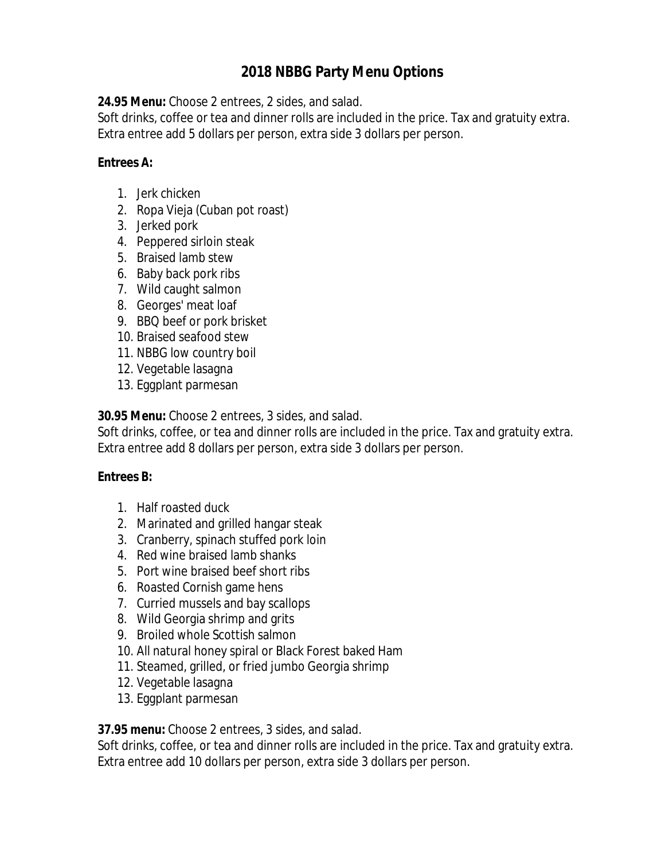# **2018 NBBG Party Menu Options**

**24.95 Menu:** Choose 2 entrees, 2 sides, and salad.

Soft drinks, coffee or tea and dinner rolls are included in the price. Tax and gratuity extra. Extra entree add 5 dollars per person, extra side 3 dollars per person.

#### **Entrees A:**

- 1. Jerk chicken
- 2. Ropa Vieja (Cuban pot roast)
- 3. Jerked pork
- 4. Peppered sirloin steak
- 5. Braised lamb stew
- 6. Baby back pork ribs
- 7. Wild caught salmon
- 8. Georges' meat loaf
- 9. BBQ beef or pork brisket
- 10. Braised seafood stew
- 11. NBBG low country boil
- 12. Vegetable lasagna
- 13. Eggplant parmesan

**30.95 Menu:** Choose 2 entrees, 3 sides, and salad.

Soft drinks, coffee, or tea and dinner rolls are included in the price. Tax and gratuity extra. Extra entree add 8 dollars per person, extra side 3 dollars per person.

## **Entrees B:**

- 1. Half roasted duck
- 2. Marinated and grilled hangar steak
- 3. Cranberry, spinach stuffed pork loin
- 4. Red wine braised lamb shanks
- 5. Port wine braised beef short ribs
- 6. Roasted Cornish game hens
- 7. Curried mussels and bay scallops
- 8. Wild Georgia shrimp and grits
- 9. Broiled whole Scottish salmon
- 10. All natural honey spiral or Black Forest baked Ham
- 11. Steamed, grilled, or fried jumbo Georgia shrimp
- 12. Vegetable lasagna
- 13. Eggplant parmesan

## **37.95 menu:** Choose 2 entrees, 3 sides, and salad.

Soft drinks, coffee, or tea and dinner rolls are included in the price. Tax and gratuity extra. Extra entree add 10 dollars per person, extra side 3 dollars per person.